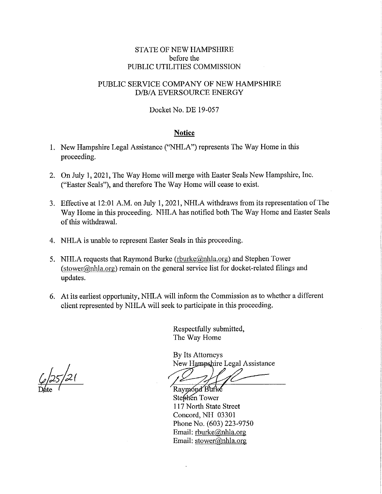## STATE OF NEW HAMPSHIRE before the PUBLIC UTILITIES COMMISSION

## PUBLIC SERVICE COMPANY OF NEW HAMPSHIRE D/B/A EVERSOURCE ENERGY

Docket No. DE 19-057

## **Notice**

- 1. New Hampshire Legal Assistance ("NHLA") represents The Way Home in this proceeding.
- 2. On July 1, 2021, The Way Home will merge with Easter Seals New Hampshire, Inc. ("Easter Seals"), and therefore The Way Home will cease to exist.
- 3. Effective at 12:01 AM. on July 1, 2021, NHLA withdraws from its representation of The Way Home in this proceeding. NHLA has notified both The Way Home and Easter Seals of this withdrawal.
- 4. NHLA is unable to represent Easter Seals in this proceeding.
- 5. NHLA requests that Raymond Burke (rburke@nhla.org) and Stephen Tower (stower@nhla.org) remain on the general service list for docket-related filings and updates.
- 6. At its earliest opportunity, NHLA will inform the Commission as to whether a different client represented by NHLA will seek to participate in this proceeding.

Respectfully submitted, The Way Home

By Its Attorneys New Hampshire Legal Assistance

Raymond Burke Stephen Tower 117 North State Street Concord, NH 03301 Phone No. (603) 223-9750 Email: rburke@nhla.org Email: stower@nhla.org

*t £,,-hr*   $\frac{6}{25}$  21